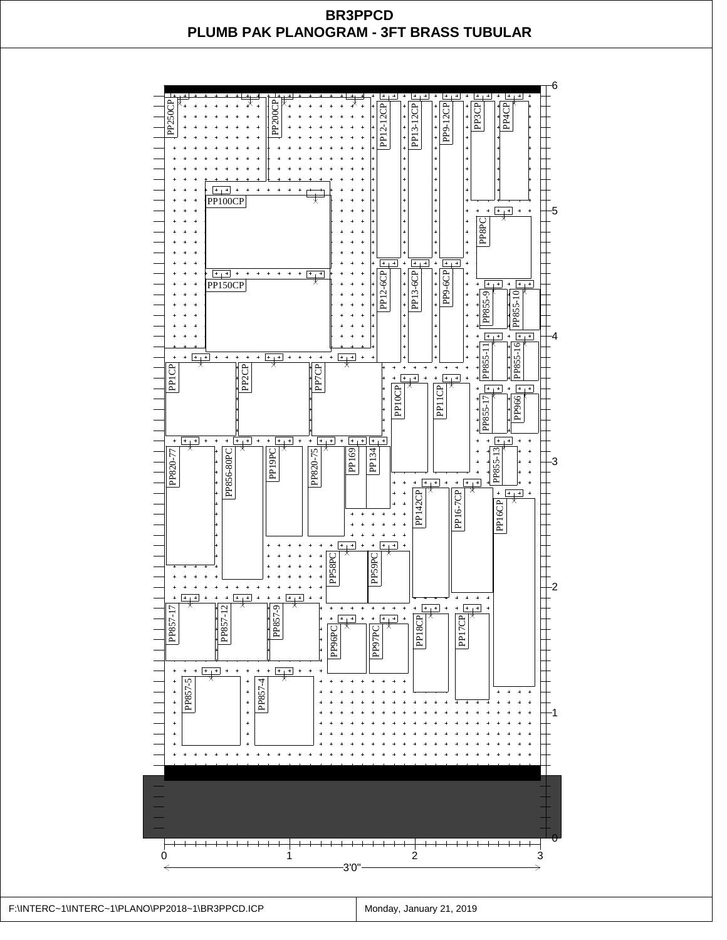